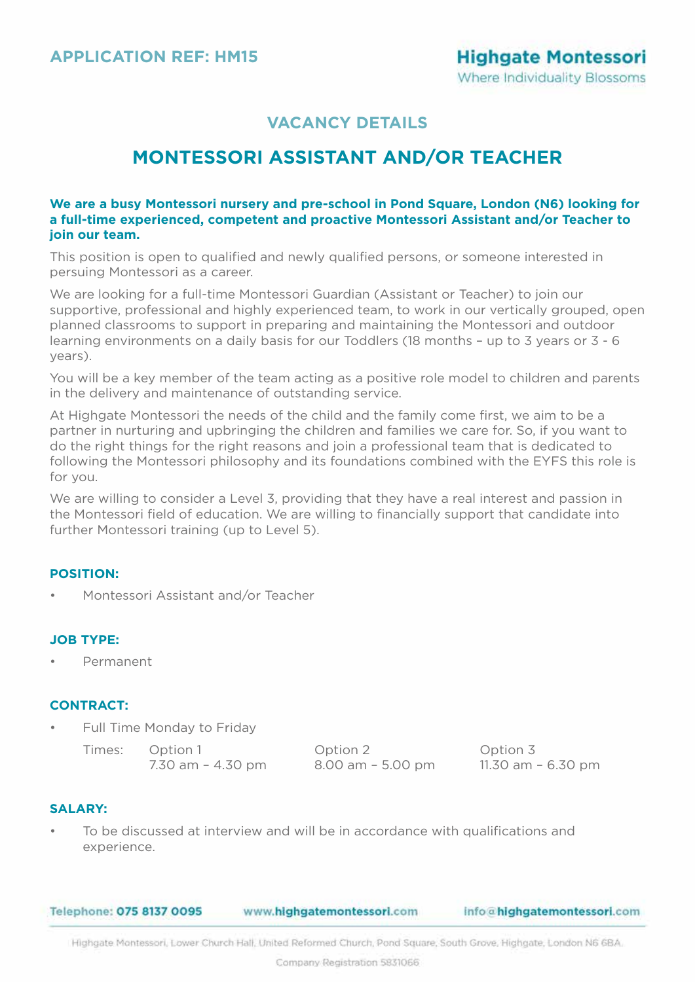# **MONTESSORI ASSISTANT AND/OR TEACHER**

### **We are a busy Montessori nursery and pre-school in Pond Square, London (N6) looking for a full-time experienced, competent and proactive Montessori Assistant and/or Teacher to join our team.**

This position is open to qualified and newly qualified persons, or someone interested in persuing Montessori as a career.

We are looking for a full-time Montessori Guardian (Assistant or Teacher) to join our supportive, professional and highly experienced team, to work in our vertically grouped, open planned classrooms to support in preparing and maintaining the Montessori and outdoor learning environments on a daily basis for our Toddlers (18 months – up to 3 years or 3 - 6 years).

You will be a key member of the team acting as a positive role model to children and parents in the delivery and maintenance of outstanding service.

At Highgate Montessori the needs of the child and the family come first, we aim to be a partner in nurturing and upbringing the children and families we care for. So, if you want to do the right things for the right reasons and join a professional team that is dedicated to following the Montessori philosophy and its foundations combined with the EYFS this role is for you.

We are willing to consider a Level 3, providing that they have a real interest and passion in the Montessori field of education. We are willing to financially support that candidate into further Montessori training (up to Level 5).

## **POSITION:**

• Montessori Assistant and/or Teacher

### **JOB TYPE:**

• Permanent

### **CONTRACT:**

• Full Time Monday to Friday

Times: Option 1 Option 2 Option 3

7.30 am – 4.30 pm 8.00 am – 5.00 pm 11.30 am – 6.30 pm

## **SALARY:**

• To be discussed at interview and will be in accordance with qualifications and experience.

Telephone: 075 8137 0095 www.highgatemontessori.com info@highgatemontessori.com

Highgate Montessori, Lower Church Hall, United Reformed Church, Pond Square, South Grove, Highgate, London N6 68A,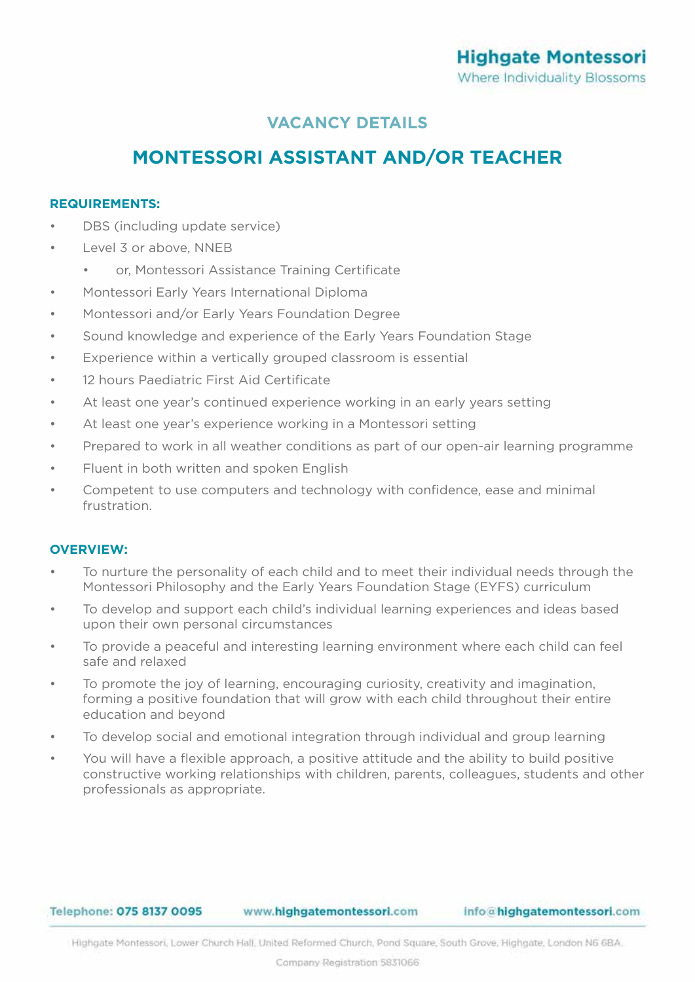# **MONTESSORI ASSISTANT AND/OR TEACHER**

### **REQUIREMENTS:**

- DBS (including update service)
- Level 3 or above, NNEB
	- or, Montessori Assistance Training Certificate
- Montessori Early Years International Diploma
- Montessori and/or Early Years Foundation Degree
- Sound knowledge and experience of the Early Years Foundation Stage
- Experience within a vertically grouped classroom is essential
- 12 hours Paediatric First Aid Certificate
- At least one year's continued experience working in an early years setting
- At least one year's experience working in a Montessori setting
- Prepared to work in all weather conditions as part of our open-air learning programme
- Fluent in both written and spoken English
- Competent to use computers and technology with confidence, ease and minimal frustration.

## **OVERVIEW:**

- To nurture the personality of each child and to meet their individual needs through the Montessori Philosophy and the Early Years Foundation Stage (EYFS) curriculum
- To develop and support each child's individual learning experiences and ideas based upon their own personal circumstances
- To provide a peaceful and interesting learning environment where each child can feel safe and relaxed
- To promote the joy of learning, encouraging curiosity, creativity and imagination, forming a positive foundation that will grow with each child throughout their entire education and beyond
- To develop social and emotional integration through individual and group learning
- You will have a flexible approach, a positive attitude and the ability to build positive constructive working relationships with children, parents, colleagues, students and other professionals as appropriate.

#### Telephone: 075 8137 0095

www.highgatemontessori.com

Highgate Montessori, Lower Church Hall, United Reformed Church, Pond Square, South Grove, Highgate, London N6 68A,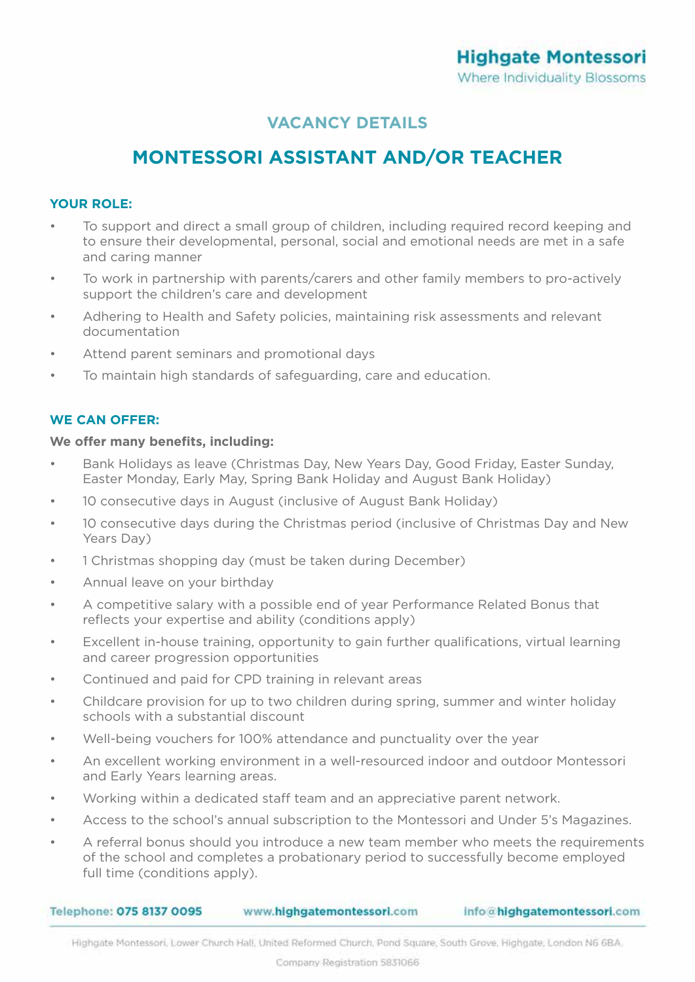# **MONTESSORI ASSISTANT AND/OR TEACHER**

## **YOUR ROLE:**

- To support and direct a small group of children, including required record keeping and to ensure their developmental, personal, social and emotional needs are met in a safe and caring manner
- To work in partnership with parents/carers and other family members to pro-actively support the children's care and development
- Adhering to Health and Safety policies, maintaining risk assessments and relevant documentation
- Attend parent seminars and promotional days
- To maintain high standards of safeguarding, care and education.

## **WE CAN OFFER:**

### **We offer many benefits, including:**

- Bank Holidays as leave (Christmas Day, New Years Day, Good Friday, Easter Sunday, Easter Monday, Early May, Spring Bank Holiday and August Bank Holiday)
- 10 consecutive days in August (inclusive of August Bank Holiday)
- 10 consecutive days during the Christmas period (inclusive of Christmas Day and New Years Day)
- 1 Christmas shopping day (must be taken during December)
- Annual leave on your birthday
- A competitive salary with a possible end of year Performance Related Bonus that reflects your expertise and ability (conditions apply)
- Excellent in-house training, opportunity to gain further qualifications, virtual learning and career progression opportunities
- Continued and paid for CPD training in relevant areas
- Childcare provision for up to two children during spring, summer and winter holiday schools with a substantial discount
- Well-being vouchers for 100% attendance and punctuality over the year
- An excellent working environment in a well-resourced indoor and outdoor Montessori and Early Years learning areas.
- Working within a dedicated staff team and an appreciative parent network.
- Access to the school's annual subscription to the Montessori and Under 5's Magazines.
- A referral bonus should you introduce a new team member who meets the requirements of the school and completes a probationary period to successfully become employed full time (conditions apply).

| Telephone: 075 8137 0095 | www.highgatemontessori.com | info@highgatemontessori.com |
|--------------------------|----------------------------|-----------------------------|
|                          |                            |                             |

Highgate Montessori, Lower Church Hall, United Reformed Church, Pond Square, South Grove, Highgate, London N6 6BA,